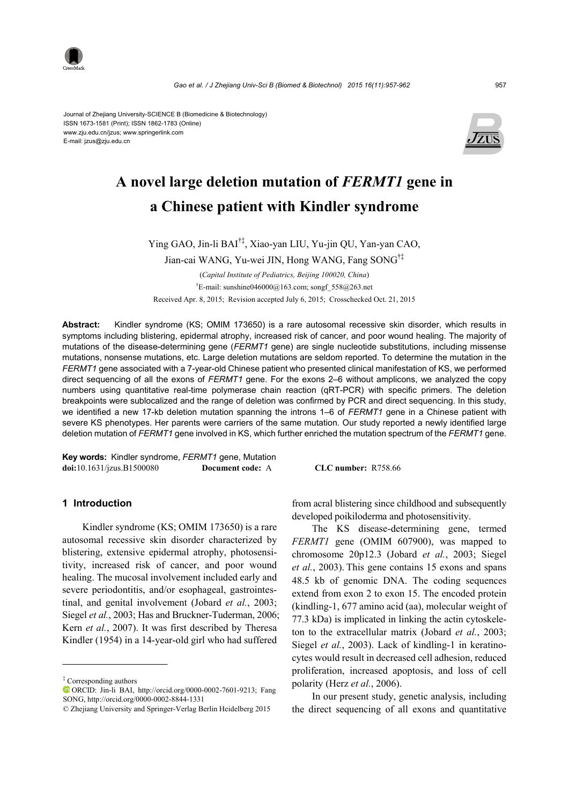

Journal of Zhejiang University-SCIENCE B (Biomedicine & Biotechnology) ISSN 1673-1581 (Print); ISSN 1862-1783 (Online) www.zju.edu.cn/jzus; www.springerlink.com E-mail: jzus@zju.edu.cn



# **A novel large deletion mutation of** *FERMT1* **gene in a Chinese patient with Kindler syndrome**

Ying GAO, Jin-li BAI†‡, Xiao-yan LIU, Yu-jin QU, Yan-yan CAO,

Jian-cai WANG, Yu-wei JIN, Hong WANG, Fang SONG†‡

(*Capital Institute of Pediatrics, Beijing 100020, China*) † E-mail: sunshine046000@163.com; songf\_558@263.net Received Apr. 8, 2015; Revision accepted July 6, 2015; Crosschecked Oct. 21, 2015

**Abstract:** Kindler syndrome (KS; OMIM 173650) is a rare autosomal recessive skin disorder, which results in symptoms including blistering, epidermal atrophy, increased risk of cancer, and poor wound healing. The majority of mutations of the disease-determining gene (*FERMT1* gene) are single nucleotide substitutions, including missense mutations, nonsense mutations, etc. Large deletion mutations are seldom reported. To determine the mutation in the *FERMT1* gene associated with a 7-year-old Chinese patient who presented clinical manifestation of KS, we performed direct sequencing of all the exons of *FERMT1* gene. For the exons 2–6 without amplicons, we analyzed the copy numbers using quantitative real-time polymerase chain reaction (qRT-PCR) with specific primers. The deletion breakpoints were sublocalized and the range of deletion was confirmed by PCR and direct sequencing. In this study, we identified a new 17-kb deletion mutation spanning the introns 1–6 of *FERMT1* gene in a Chinese patient with severe KS phenotypes. Her parents were carriers of the same mutation. Our study reported a newly identified large deletion mutation of *FERMT1* gene involved in KS, which further enriched the mutation spectrum of the *FERMT1* gene.

**Key words:** Kindler syndrome, *FERMT1* gene, Mutation **doi:**10.1631/jzus.B1500080 **Document code:** A **CLC number:** R758.66

## **1 Introduction**

Kindler syndrome (KS; OMIM 173650) is a rare autosomal recessive skin disorder characterized by blistering, extensive epidermal atrophy, photosensitivity, increased risk of cancer, and poor wound healing. The mucosal involvement included early and severe periodontitis, and/or esophageal, gastrointestinal, and genital involvement (Jobard *et al.*, 2003; Siegel *et al.*, 2003; Has and Bruckner-Tuderman, 2006; Kern *et al.*, 2007). It was first described by Theresa Kindler (1954) in a 14-year-old girl who had suffered

‡ Corresponding authors

from acral blistering since childhood and subsequently developed poikiloderma and photosensitivity.

The KS disease-determining gene, termed *FERMT1* gene (OMIM 607900), was mapped to chromosome 20p12.3 (Jobard *et al.*, 2003; Siegel *et al.*, 2003). This gene contains 15 exons and spans 48.5 kb of genomic DNA. The coding sequences extend from exon 2 to exon 15. The encoded protein (kindling-1, 677 amino acid (aa), molecular weight of 77.3 kDa) is implicated in linking the actin cytoskeleton to the extracellular matrix (Jobard *et al.*, 2003; Siegel *et al.*, 2003). Lack of kindling-1 in keratinocytes would result in decreased cell adhesion, reduced proliferation, increased apoptosis, and loss of cell polarity (Herz *et al.*, 2006).

In our present study, genetic analysis, including the direct sequencing of all exons and quantitative

ORCID: Jin-li BAI, http://orcid.org/0000-0002-7601-9213; Fang SONG, http://orcid.org/0000-0002-8844-1331

<sup>©</sup> Zhejiang University and Springer-Verlag Berlin Heidelberg 2015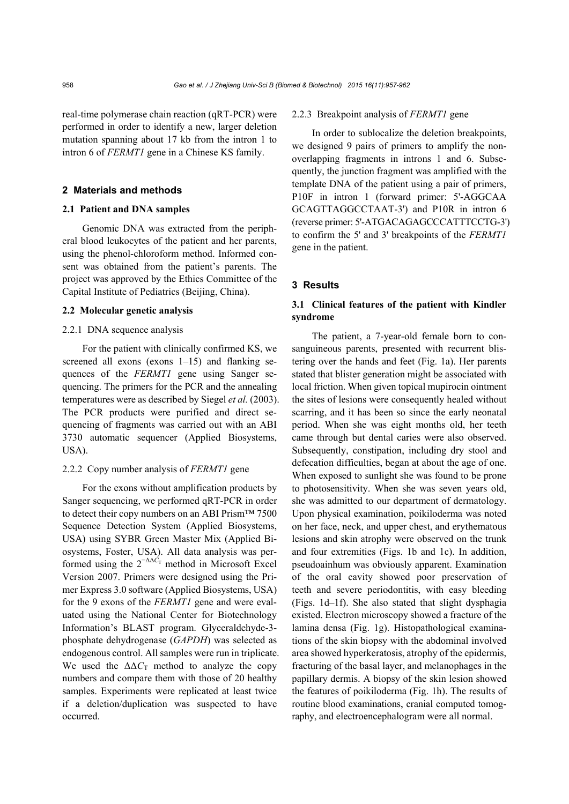real-time polymerase chain reaction (qRT-PCR) were performed in order to identify a new, larger deletion mutation spanning about 17 kb from the intron 1 to intron 6 of *FERMT1* gene in a Chinese KS family.

## **2 Materials and methods**

## **2.1 Patient and DNA samples**

Genomic DNA was extracted from the peripheral blood leukocytes of the patient and her parents, using the phenol-chloroform method. Informed consent was obtained from the patient's parents. The project was approved by the Ethics Committee of the Capital Institute of Pediatrics (Beijing, China).

## **2.2 Molecular genetic analysis**

## 2.2.1 DNA sequence analysis

For the patient with clinically confirmed KS, we screened all exons (exons 1–15) and flanking sequences of the *FERMT1* gene using Sanger sequencing. The primers for the PCR and the annealing temperatures were as described by Siegel *et al.* (2003). The PCR products were purified and direct sequencing of fragments was carried out with an ABI 3730 automatic sequencer (Applied Biosystems, USA).

## 2.2.2 Copy number analysis of *FERMT1* gene

For the exons without amplification products by Sanger sequencing, we performed qRT-PCR in order to detect their copy numbers on an ABI Prism™ 7500 Sequence Detection System (Applied Biosystems, USA) using SYBR Green Master Mix (Applied Biosystems, Foster, USA). All data analysis was performed using the  $2^{-\Delta\Delta C_T}$  method in Microsoft Excel Version 2007. Primers were designed using the Primer Express 3.0 software (Applied Biosystems, USA) for the 9 exons of the *FERMT1* gene and were evaluated using the National Center for Biotechnology Information's BLAST program. Glyceraldehyde-3 phosphate dehydrogenase (*GAPDH*) was selected as endogenous control. All samples were run in triplicate. We used the  $\Delta \Delta C_T$  method to analyze the copy numbers and compare them with those of 20 healthy samples. Experiments were replicated at least twice if a deletion/duplication was suspected to have occurred.

#### 2.2.3 Breakpoint analysis of *FERMT1* gene

In order to sublocalize the deletion breakpoints, we designed 9 pairs of primers to amplify the nonoverlapping fragments in introns 1 and 6. Subsequently, the junction fragment was amplified with the template DNA of the patient using a pair of primers, P10F in intron 1 (forward primer: 5'-AGGCAA GCAGTTAGGCCTAAT-3') and P10R in intron 6 (reverse primer: 5'-ATGACAGAGCCCATTTCCTG-3') to confirm the 5' and 3' breakpoints of the *FERMT1* gene in the patient.

## **3 Results**

## **3.1 Clinical features of the patient with Kindler syndrome**

The patient, a 7-year-old female born to consanguineous parents, presented with recurrent blistering over the hands and feet (Fig. 1a). Her parents stated that blister generation might be associated with local friction. When given topical mupirocin ointment the sites of lesions were consequently healed without scarring, and it has been so since the early neonatal period. When she was eight months old, her teeth came through but dental caries were also observed. Subsequently, constipation, including dry stool and defecation difficulties, began at about the age of one. When exposed to sunlight she was found to be prone to photosensitivity. When she was seven years old, she was admitted to our department of dermatology. Upon physical examination, poikiloderma was noted on her face, neck, and upper chest, and erythematous lesions and skin atrophy were observed on the trunk and four extremities (Figs. 1b and 1c). In addition, pseudoainhum was obviously apparent. Examination of the oral cavity showed poor preservation of teeth and severe periodontitis, with easy bleeding (Figs. 1d–1f). She also stated that slight dysphagia existed. Electron microscopy showed a fracture of the lamina densa (Fig. 1g). Histopathological examinations of the skin biopsy with the abdominal involved area showed hyperkeratosis, atrophy of the epidermis, fracturing of the basal layer, and melanophages in the papillary dermis. A biopsy of the skin lesion showed the features of poikiloderma (Fig. 1h). The results of routine blood examinations, cranial computed tomography, and electroencephalogram were all normal.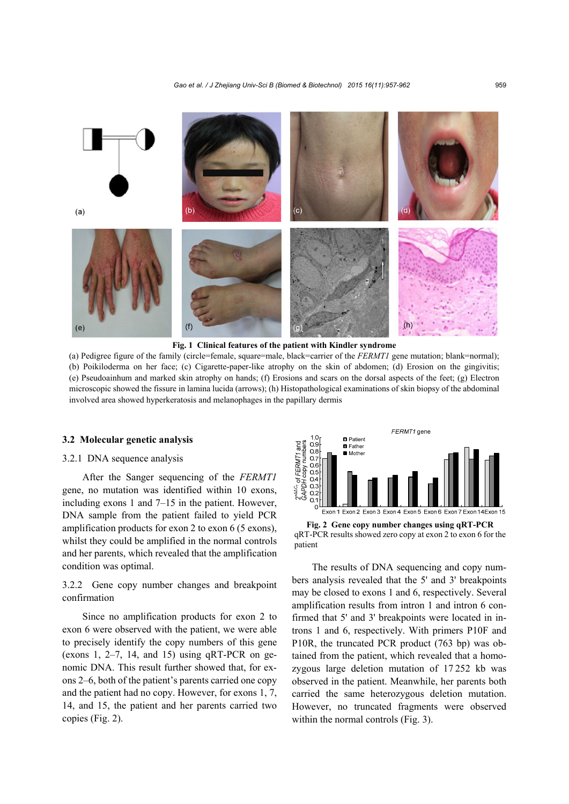*Gao et al. / J Zhejiang Univ-Sci B (Biomed & Biotechnol) 2015 16(11):957-962* 959



**Fig. 1 Clinical features of the patient with Kindler syndrome** 

(a) Pedigree figure of the family (circle=female, square=male, black=carrier of the *FERMT1* gene mutation; blank=normal); (b) Poikiloderma on her face; (c) Cigarette-paper-like atrophy on the skin of abdomen; (d) Erosion on the gingivitis; (e) Pseudoainhum and marked skin atrophy on hands; (f) Erosions and scars on the dorsal aspects of the feet; (g) Electron microscopic showed the fissure in lamina lucida (arrows); (h) Histopathological examinations of skin biopsy of the abdominal involved area showed hyperkeratosis and melanophages in the papillary dermis

#### **3.2 Molecular genetic analysis**

## 3.2.1 DNA sequence analysis

After the Sanger sequencing of the *FERMT1* gene, no mutation was identified within 10 exons, including exons 1 and 7–15 in the patient. However, DNA sample from the patient failed to yield PCR amplification products for exon 2 to exon 6 (5 exons), whilst they could be amplified in the normal controls and her parents, which revealed that the amplification condition was optimal.

3.2.2 Gene copy number changes and breakpoint confirmation

Since no amplification products for exon 2 to exon 6 were observed with the patient, we were able to precisely identify the copy numbers of this gene (exons 1,  $2-7$ , 14, and 15) using qRT-PCR on genomic DNA. This result further showed that, for exons 2–6, both of the patient's parents carried one copy and the patient had no copy. However, for exons 1, 7, 14, and 15, the patient and her parents carried two copies (Fig. 2).





The results of DNA sequencing and copy numbers analysis revealed that the 5' and 3' breakpoints may be closed to exons 1 and 6, respectively. Several amplification results from intron 1 and intron 6 confirmed that 5' and 3' breakpoints were located in introns 1 and 6, respectively. With primers P10F and P10R, the truncated PCR product (763 bp) was obtained from the patient, which revealed that a homozygous large deletion mutation of 17 252 kb was observed in the patient. Meanwhile, her parents both carried the same heterozygous deletion mutation. However, no truncated fragments were observed within the normal controls (Fig. 3).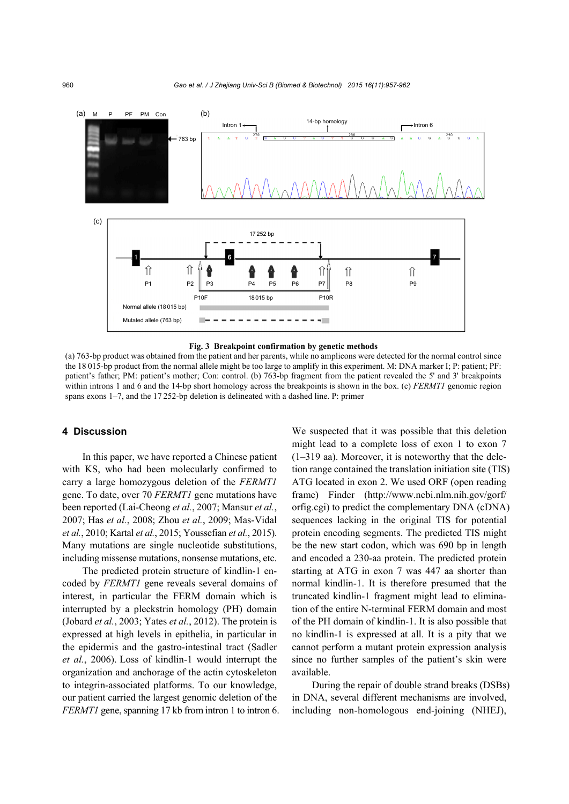



(a) 763-bp product was obtained from the patient and her parents, while no amplicons were detected for the normal control since the 18 015-bp product from the normal allele might be too large to amplify in this experiment. M: DNA marker I; P: patient; PF: patient's father; PM: patient's mother; Con: control. (b) 763-bp fragment from the patient revealed the 5' and 3' breakpoints within introns 1 and 6 and the 14-bp short homology across the breakpoints is shown in the box. (c) *FERMT1* genomic region spans exons 1–7, and the 17 252-bp deletion is delineated with a dashed line. P: primer

#### **4 Discussion**

In this paper, we have reported a Chinese patient with KS, who had been molecularly confirmed to carry a large homozygous deletion of the *FERMT1* gene. To date, over 70 *FERMT1* gene mutations have been reported (Lai-Cheong *et al.*, 2007; Mansur *et al.*, 2007; Has *et al.*, 2008; Zhou *et al.*, 2009; Mas-Vidal *et al.*, 2010; Kartal *et al.*, 2015; Youssefian *et al.*, 2015). Many mutations are single nucleotide substitutions, including missense mutations, nonsense mutations, etc.

The predicted protein structure of kindlin-1 encoded by *FERMT1* gene reveals several domains of interest, in particular the FERM domain which is interrupted by a pleckstrin homology (PH) domain (Jobard *et al.*, 2003; Yates *et al.*, 2012). The protein is expressed at high levels in epithelia, in particular in the epidermis and the gastro-intestinal tract (Sadler *et al.*, 2006). Loss of kindlin-1 would interrupt the organization and anchorage of the actin cytoskeleton to integrin-associated platforms. To our knowledge, our patient carried the largest genomic deletion of the *FERMT1* gene, spanning 17 kb from intron 1 to intron 6. We suspected that it was possible that this deletion might lead to a complete loss of exon 1 to exon 7 (1–319 aa). Moreover, it is noteworthy that the deletion range contained the translation initiation site (TIS) ATG located in exon 2. We used ORF (open reading frame) Finder (http://www.ncbi.nlm.nih.gov/gorf/ orfig.cgi) to predict the complementary DNA (cDNA) sequences lacking in the original TIS for potential protein encoding segments. The predicted TIS might be the new start codon, which was 690 bp in length and encoded a 230-aa protein. The predicted protein starting at ATG in exon 7 was 447 aa shorter than normal kindlin-1. It is therefore presumed that the truncated kindlin-1 fragment might lead to elimination of the entire N-terminal FERM domain and most of the PH domain of kindlin-1. It is also possible that no kindlin-1 is expressed at all. It is a pity that we cannot perform a mutant protein expression analysis since no further samples of the patient's skin were available.

During the repair of double strand breaks (DSBs) in DNA, several different mechanisms are involved, including non-homologous end-joining (NHEJ),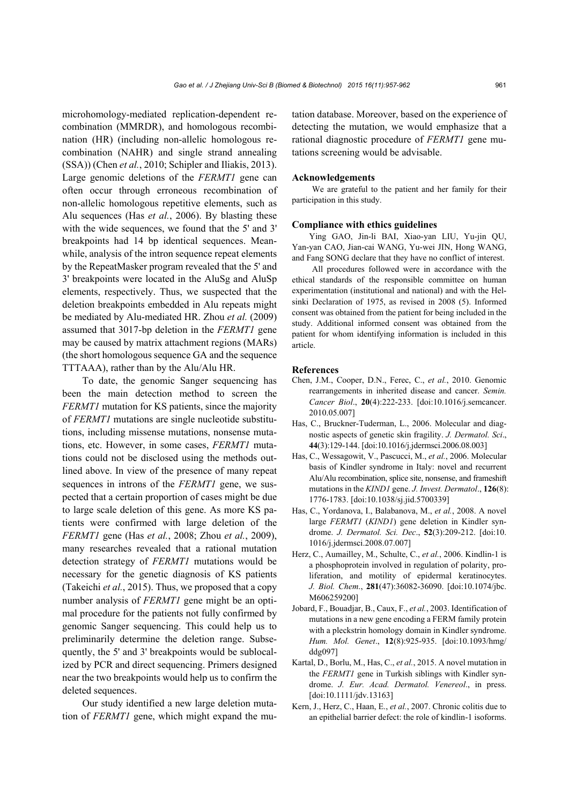microhomology-mediated replication-dependent recombination (MMRDR), and homologous recombination (HR) (including non-allelic homologous recombination (NAHR) and single strand annealing (SSA)) (Chen *et al.*, 2010; Schipler and Iliakis, 2013). Large genomic deletions of the *FERMT1* gene can often occur through erroneous recombination of non-allelic homologous repetitive elements, such as Alu sequences (Has *et al.*, 2006). By blasting these with the wide sequences, we found that the 5' and 3' breakpoints had 14 bp identical sequences. Meanwhile, analysis of the intron sequence repeat elements by the RepeatMasker program revealed that the 5' and 3' breakpoints were located in the AluSg and AluSp elements, respectively. Thus, we suspected that the deletion breakpoints embedded in Alu repeats might be mediated by Alu-mediated HR. Zhou *et al.* (2009) assumed that 3017-bp deletion in the *FERMT1* gene may be caused by matrix attachment regions (MARs) (the short homologous sequence GA and the sequence TTTAAA), rather than by the Alu/Alu HR.

To date, the genomic Sanger sequencing has been the main detection method to screen the *FERMT1* mutation for KS patients, since the majority of *FERMT1* mutations are single nucleotide substitutions, including missense mutations, nonsense mutations, etc. However, in some cases, *FERMT1* mutations could not be disclosed using the methods outlined above. In view of the presence of many repeat sequences in introns of the *FERMT1* gene, we suspected that a certain proportion of cases might be due to large scale deletion of this gene. As more KS patients were confirmed with large deletion of the *FERMT1* gene (Has *et al.*, 2008; Zhou *et al.*, 2009), many researches revealed that a rational mutation detection strategy of *FERMT1* mutations would be necessary for the genetic diagnosis of KS patients (Takeichi *et al.*, 2015). Thus, we proposed that a copy number analysis of *FERMT1* gene might be an optimal procedure for the patients not fully confirmed by genomic Sanger sequencing. This could help us to preliminarily determine the deletion range. Subsequently, the 5' and 3' breakpoints would be sublocalized by PCR and direct sequencing. Primers designed near the two breakpoints would help us to confirm the deleted sequences.

Our study identified a new large deletion mutation of *FERMT1* gene, which might expand the mutation database. Moreover, based on the experience of detecting the mutation, we would emphasize that a rational diagnostic procedure of *FERMT1* gene mutations screening would be advisable.

#### **Acknowledgements**

We are grateful to the patient and her family for their participation in this study.

## **Compliance with ethics guidelines**

Ying GAO, Jin-li BAI, Xiao-yan LIU, Yu-jin QU, Yan-yan CAO, Jian-cai WANG, Yu-wei JIN, Hong WANG, and Fang SONG declare that they have no conflict of interest.

All procedures followed were in accordance with the ethical standards of the responsible committee on human experimentation (institutional and national) and with the Helsinki Declaration of 1975, as revised in 2008 (5). Informed consent was obtained from the patient for being included in the study. Additional informed consent was obtained from the patient for whom identifying information is included in this article.

## **References**

- Chen, J.M., Cooper, D.N., Ferec, C., *et al.*, 2010. Genomic rearrangements in inherited disease and cancer. *Semin. Cancer Biol*., **20**(4):222-233. [doi:10.1016/j.semcancer. 2010.05.007]
- Has, C., Bruckner-Tuderman, L., 2006. Molecular and diagnostic aspects of genetic skin fragility. *J. Dermatol. Sci*., **44**(3):129-144. [doi:10.1016/j.jdermsci.2006.08.003]
- Has, C., Wessagowit, V., Pascucci, M., *et al.*, 2006. Molecular basis of Kindler syndrome in Italy: novel and recurrent Alu/Alu recombination, splice site, nonsense, and frameshift mutations in the *KIND1* gene. *J. Invest. Dermatol*., **126**(8): 1776-1783. [doi:10.1038/sj.jid.5700339]
- Has, C., Yordanova, I., Balabanova, M., *et al.*, 2008. A novel large *FERMT1* (*KIND1*) gene deletion in Kindler syndrome. *J. Dermatol. Sci. Dec*., **52**(3):209-212. [doi:10. 1016/j.jdermsci.2008.07.007]
- Herz, C., Aumailley, M., Schulte, C., *et al.*, 2006. Kindlin-1 is a phosphoprotein involved in regulation of polarity, proliferation, and motility of epidermal keratinocytes. *J. Biol. Chem*., **281**(47):36082-36090. [doi:10.1074/jbc. M606259200]
- Jobard, F., Bouadjar, B., Caux, F., *et al.*, 2003. Identification of mutations in a new gene encoding a FERM family protein with a pleckstrin homology domain in Kindler syndrome. *Hum. Mol. Genet*., **12**(8):925-935. [doi:10.1093/hmg/ ddg097]
- Kartal, D., Borlu, M., Has, C., *et al.*, 2015. A novel mutation in the *FERMT1* gene in Turkish siblings with Kindler syndrome. *J. Eur. Acad. Dermatol. Venereol*., in press. [doi:10.1111/jdv.13163]
- Kern, J., Herz, C., Haan, E., *et al.*, 2007. Chronic colitis due to an epithelial barrier defect: the role of kindlin-1 isoforms.